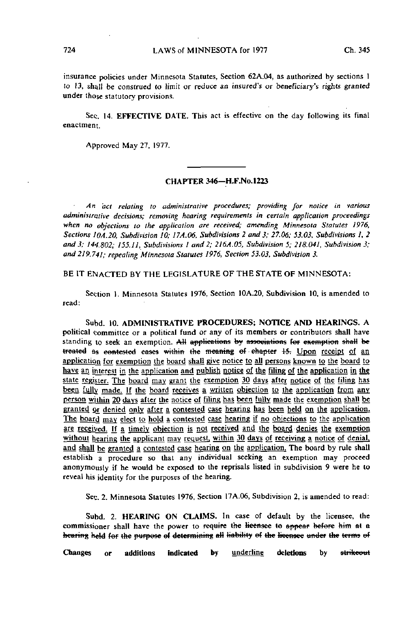insurance policies under Minnesota Statutes, Section 62A.04, as authorized by sections 1 to 13, shall be construed to limit or reduce an insured's or beneficiary's rights granted under those statutory provisions.

Sec. 14. EFFECTIVE DATE. This act is effective on the day following its final enactment.

Approved May 27, 1977.

## CHAPTER 346—H.F.NO. 1223

An act relating to administrative procedures; providing for notice in various administrative decisions; removing hearing requirements in certain application proceedings when no objections to the application are received; amending Minnesota Statutes 1976, Sections 10A.20, Subdivision 10; 17A.06, Subdivisions 2 and 3; 27.06; 53.03, Subdivisions 1, 2 and 3; 144.802; 155.11, Subdivisions I and 2; 2I6A.05, Subdivision 5; 218.041, Subdivision 3; and 219.741; repealing Minnesota Statutes 1976, Section 53.03, Subdivision 3.

BE IT ENACTED BY THE LEGISLATURE OF THE STATE OF MINNESOTA:

Section 1. Minnesota Statutes 1976, Section 10A.20, Subdivision 10, is amended to read:

Subd. 10. ADMINISTRATIVE PROCEDURES; NOTICE AND HEARINGS. A political committee or a political fund or any of its members or contributors shall have standing to seek an exemption. All applications by associations for exemption shall be treated as contested cases within the meaning of chapter 15. Upon receipt of an application for exemption the board shall give notice to all persons known to the board to have an interest in the application and publish notice of the filing of the application in the state register. The board may grant the exemption 30 days after notice of the filing has been fully made. If the board receives a written objection to the application from any person within 20 days after the notice of filing has been fully made the exemption shall be granted or denied only after a contested case hearing has been held on the application. The board may elect to hold a contested case hearing if no objections to the application are received. If a timely objection is not received and the board denies the exemption without hearing the applicant may request, within 30 days of receiving a notice of denial, and shall be granted a contested case hearing on the application. The board by rule shall establish a procedure so that any individual seeking an exemption may proceed anonymously if he would be exposed to the reprisals listed in subdivision 9 were he to reveal his identity for the purposes of the hearing.

Sec. 2. Minnesota Statutes 1976, Section 17A.06, Subdivision 2, is amended to read:

Subd. 2. HEARING ON CLAIMS. In case of default by the licensee, the commissioner shall have the power to require the licensee to appear before him at a hearing held for the purpose of determining all liability of the licensee under the terms of

Changes or additions indicated by <u>underline</u> deletions by <del>strikeou</del>t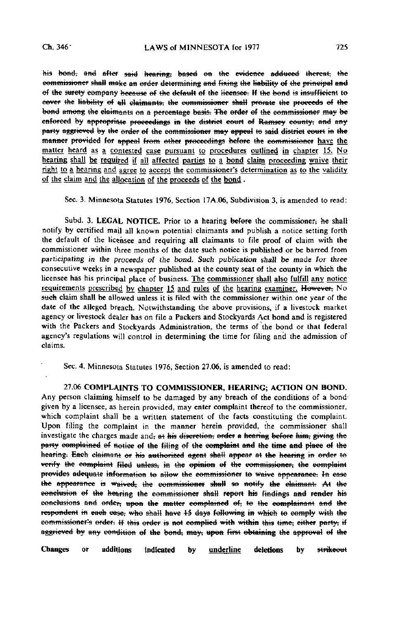his bond, and after said hearing, based on the evidence adduced thereat, the commissioner shall make an order determining and fixing the liability of the principal and of the surety company because of the default of the licensee. If the bond is insufficient to eover the liability of all claimants, the commissioner shall prorate the proceeds of the bond among the claimants on a percentage basis. The order of the commissioner may be enforced by appropriate proceedings in the district court of Ramsey county, and any party aggrieved by the order of the commissioner may appeal to said district court in the manner provided fef appeal from other proceedings befere the commissioner have the matter heard as a contested case pursuant to procedures outlined in chapter 15. No hearing shall be required if all affected parties to a bond claim proceeding waive their right to a hearing and agree to accept the commissioner's determination as to the validity of the claim and the allocation of the proceeds of the bond .

Sec. 3. Minnesota Statutes 1976, Section 17A.06, Subdivision 3, is amended to read:

Subd. 3. LEGAL NOTICE. Prior to a hearing before the commissioner, he shall notify by certified mail all known potential claimants and publish a notice setting forth the default of the licensee and requiring all claimants to file proof of claim with the commissioner within three months of the date such notice is published or be barred from participating in the proceeds of the bond. Such publication shall be made for three consecutive weeks in a newspaper published at the county seat of the county in which the licensee has his principal place of business. The commissioner shall also fulfill any notice requirements prescribed by chapter 15 and rules of the hearing examiner. However, No such claim shall be allowed unless it is filed with the commissioner within one year of the date of the alleged breach. Notwithstanding the above provisions, if a livestock market agency or livestock dealer has on file a Packers and Stockyards Act bond and is registered with the Packers and Stockyards Administration, the terms of the bond or that federal agency's regulations will control in determining the time for filing and the admission of claims.

Sec. 4. Minnesota Statutes 1976, Section 27.06, is amended to read:

27.06 COMPLAINTS TO COMMISSIONER, HEARING; ACTION ON BOND. Any person claiming himself to be damaged by any breach of the conditions of a bondgiven by a licensee, as herein provided, may enter complaint thereof to the commissioner, which complaint shall be a written statement of the facts constituting the complaint. Upon filing the complaint in the manner herein provided, the commissioner shall investigate the charges made and, at his discretion, order a hearing before him, giving the party complained of notice of the filing of the complaint and the time and place of the hearing. Each claimant or his authorized agent shall appear at the hearing in order to vefify the complaint filed unless, in the opinion ef the commissioner, the complaint provides adequate information te allow the commissioner te waive appearance: tn ease the appearance is waived, the commissioner shall so notify the claimant. At the conclusion of the hearing the commissioner shall report his findings and render his conclusions and efdef; upon the matter complained ef; te the complainant and the respondent in each ease, who shall have  $+5$  days following in which to comply with the commissioner's order: If this order is not complied with within this time; either party; if aggrieved by any condition of the bond, may, upon first obtaining the approval of the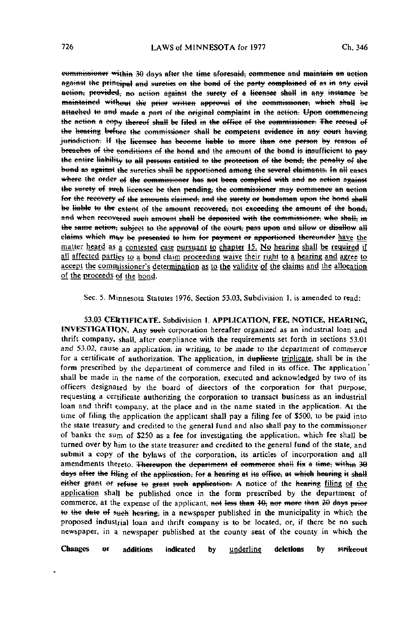commissioner within 30 days after the time aforesaid, commence and maintain an action against the principal and sureties on the bond of the party complained of as in any civil action, provided, no action against the surety of a licensee shall in any instance be maintained without the prior written approval of the commissioner, which shall be attached to and made a part of the original complaint in the action. Upon commencing the action a eopy thereof shall be filed in the office of the commissioner. The record of the hearing before the commissioner shall be competent evidence in any court having <del>jurisdiction.</del> If the licensee has become liable to more than one person by reason of breaches of the conditions of the bond and the amount of the bond is insufficient to pay the entire liability to all persons entitled to the protection of the bend, the penalty of the bond as against the sureties shall be apportioned among the several claimants. In all eases where the order of the commissioner has not been complied with and no action against the surety of such licensee be then pending; the commissioner may commence an action for the recovery of the amounts claimed, and the surety or bondsman upon the bond shall be liable to the extent of the amount recovered, not exceeding the amount of the bond, and when recovered such amount shall be deposited with the commissioner, who shall, in the same action; subject to the approval of the court, pass upon and allow or disallow all claims which may be presented to him for payment or apportioned thereunder have the matter heard as a contested case pursuant to chapter 15. No hearing shall be required if all affected parties to a bond claim proceeding waive their right to a hearing and agree to accept the commissioner's determination as to the validity of the claims and the allocation of the proceeds of the bond.

Sec. 5. Minnesota Statutes 1976, Section 53.03, Subdivision 1, is amended to read:

53.03 CERTIFICATE. Subdivision 1. APPLICATION, FEE, NOTICE, HEARING, INVESTIGATION. Any sueh corporation hereafter organized as an industrial loan and thrift company, shall, after compliance with the requirements set forth in sections 53.01 and 53.02, cause an application, in writing, to be made to the department of commerce for a certificate of authorization. The application, in duplicate triplicate, shall be in the form prescribed by the department of commerce and filed in its office. The application' shall be made in the name of the corporation, executed and acknowledged by two of its officers designated by the board of directors of the corporation for that purpose, requesting a certificate authorizing the corporation to transact business as an industrial loan and thrift company, at the place and in the name stated in the application. At the time of filing the application the applicant shall pay a filing fee of \$500, to be paid into the state treasury and credited to the general fund and also shall pay to the commissioner of banks the sum of \$250 as a fee for investigating the application, which fee shall be turned over by him to the state treasurer and credited to the general fund of the state, and submit a copy of the bylaws of the corporation, its articles of incorporation and all amendments thereto. Thereupon the department of commerce shall fix a time, within 30 days after the filing of the application; for a hearing at its office; at which hearing it shall either grant or refuse to grant such application. A notice of the hearing filing of the application shall be published once in the form prescribed by the department of commerce, at the expense of the applicant, not less than 10, nor more than 20 days prior to the date of such hearing, in a newspaper published in the municipality in which the proposed industrial loan and thrift company is to be located, or, if there be no such newspaper, in a newspaper published at the county seat of the county in which the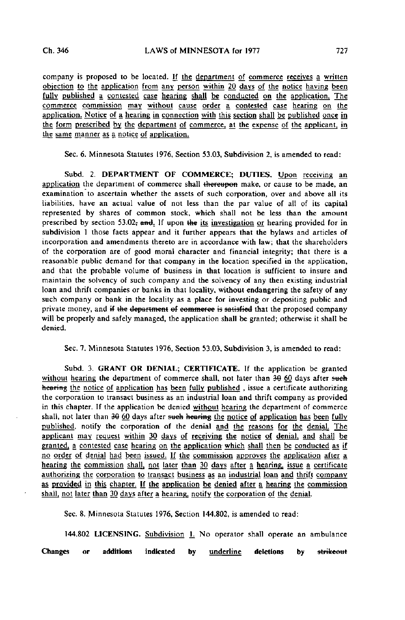company is proposed to be located. H the department of commerce receives a written objection to the application from any person within 20 days of the notice having been fully published a contested case hearing shall be conducted on the application. The commerce commission may without cause order a contested case hearing on the application. Notice of a hearing in connection with this section shall be published once in the form prescribed by the department of commerce, at the expense of the applicant, in the same manner as a notice of application.

Sec. 6. Minnesota Statutes 1976, Section 53.03, Subdivision 2, is amended to read:

Subd. 2. DEPARTMENT OF COMMERCE; DUTIES. Upon receiving an application the department of commerce shall thereupon make, or cause to be made, an examination to ascertain whether the assets of such corporation, over and above all its liabilities, have an actual value of not less than the par value of all of its capital represented by shares of common stock, which shall not be less than the amount prescribed by section 53.02; and. If upon the its investigation or hearing provided for in subdivision 1 those facts appear and it further appears that the bylaws and articles of incorporation and amendments thereto are in accordance with law; that the shareholders of the corporation are of good moral character and financial integrity; that there is a reasonable public demand for that company in the location specified in the application, and that the probable volume of business in that location is sufficient to insure and maintain the solvency of such company and the solvency of any then existing industrial loan and thrift companies or banks in that locality, without endangering the safety of any such company or bank in the locality as a place for investing or depositing public and private money, and if the department of commerce is satisfied that the proposed company will be properly and safely managed, the application shall be granted; otherwise it shall be denied.

Sec. 7. Minnesota Statutes 1976, Section 53.03, Subdivision 3, is amended to read:

Subd. 3. GRANT OR DENIAL; CERTIFICATE. If the application be granted without hearing the department of commerce shall, not later than  $30-60$  days after such hearing the notice of application has been fully published, issue a certificate authorizing the corporation to transact business as an industrial loan and thrift company as provided in this chapter. If the application be denied without hearing the department of commerce shall, not later than 30 60 days after such hearing the notice of application has been fully published, notify the corporation of the denial and the reasons for the denial. The applicant may request within 30 days of receiving the notice of denial, and shall be granted, a contested case hearing on the application which shall then be conducted as if no order of denjaj had been issued. If the commission approves the application after a hearing the commission shall, not later than 30 days after a hearing, issue a certificate authorizing the corporation to transact business as an industrial loan and thrift company as provided in this chapter. If the application be denied after a hearing the commission shall, not later than 30 days after a hearing, notify the corporation of the denial.

Sec. 8. Minnesota Statutes 1976, Section 144.802, is amended to read:

144.802 LICENSING. Subdivision 1. No operator shall operate an ambulance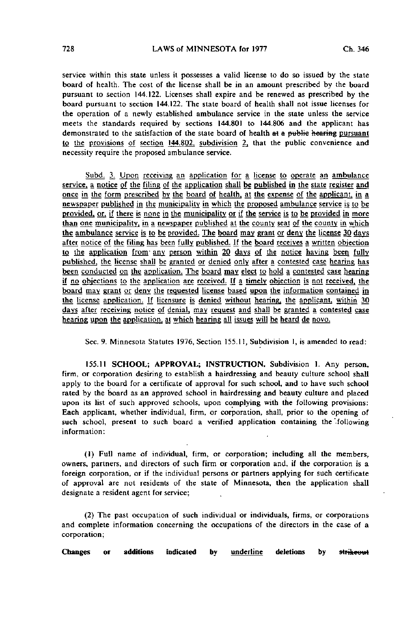service within this state unless it possesses a valid license to do so issued by the state board of health. The cost of the license shall be in an amount prescribed by the board pursuant to section 144.122. Licenses shall expire and be renewed as prescribed by the board pursuant to section 144.122. The state board of health shall not issue licenses for the operation of a newly established ambulance service in the state unless the service meets the standards required by sections 144.801 to 144.806 and the applicant has demonstrated to the satisfaction of the state board of health at a public hearing pursuant to the provisions of section  $144.802$ , subdivision 2, that the public convenience and necessity require the proposed ambulance service.

Subd. 3; Upon receiving an application for a license to operate an ambulance service, a notice of the filing of the application shall be published in the state register and once in the form prescribed by the board of health, at the expense of the applicant, in a newspaper published in the municipality in which the proposed ambulance service is to be provided, or, if there is none in the municipality or if the service is to be provided in more than one municipality, in a newspaper published at the county seat of the county in which the ambulance service is to be provided. The board may grant or deny the license 30 days after notice of the filing has been fully published. If the board receives a written objection to the application from any person within 20 days of the notice having been fully published, the license shall be granted or denied only after a contested case hearing has been conducted on the application. The board may elect to hold a contested case hearing if no objections to the application are received. If a timely objection is not received, the board may grant or deny the requested license based upon the information contained in the license application. If licensure is denied without hearing, the applicant, within 30 days after receiving notice of denial, may request and shall be granted a contested case hearing upon the application, at which hearing all issues will be heard de novo.

Sec. 9. Minnesota Statutes 1976, Section 155.11, Subdivision 1, is amended to read:

155.11 SCHOOL; APPROVAL; INSTRUCTION. Subdivision 1. Any person, firm, or corporation desiring to establish a hairdressing and beauty culture school shall apply to the board for a certificate of approval for such school, and to have such school rated by the board as an approved school in hairdressing and beauty culture and placed upon its list of such approved schools, upon complying with the following provisions: Each applicant, whether individual, firm, or corporation, shall, prior to the opening of such school, present to such board a verified application containing the following information:

(1) Full name of individual, firm, or corporation; including all the members, owners, partners, and directors of such firm or corporation and, if the corporation is a foreign corporation, or if the individual persons or partners applying for such certificate of approval are not residents of the state of Minnesota, then the application shall designate a resident agent for service;

(2) The past occupation of such individual or individuals, firms, or corporations and complete information concerning the occupations of the directors in the case of a corporation;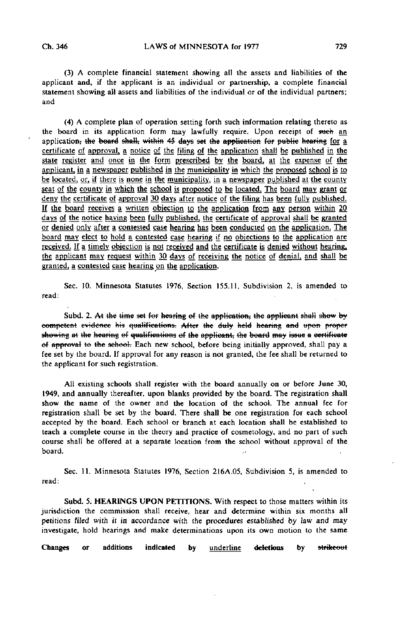(3) A complete financial statement showing all the assets and liabilities of the applicant and, if the applicant is an individual or partnership, a complete financial statement showing all assets and liabilities of the individual or of the individual partners; and

(4) A complete plan of operation setting forth such information relating thereto as the board in its application form may lawfully require. Upon receipt of such an application, the board shall, within 45 days set the application for public hearing for a certificate of approval, a notice of the filing of the application shall be published in the state register and once in the form prescribed by the board, at the expense of the applicant, in a newspaper published in the municipality in which the proposed school is to be located, or, if there is none in the municipality, in a newspaper published at the county seat of the county in which the school is proposed to be located. The board may grant or deny the certificate of approval 30 days after notice of the filing has been fully published. If the board receives a written objection to the application from any person within 20 days of the notice having been fully published, the certificate of approval shall be granted or denied only after a contested case hearing has been conducted on the application. The board may elect to hold a contested case hearing if no objections to the application are received. If a timely objection is not received and the certificate is denied without hearing, the applicant may request within 30 days of receiving the notice of denial, and shall be granted, a contested case hearing on the application.

Sec. 10. Minnesota Statutes 1976, Section 155.11, Subdivision 2, is amended to read:

Subd. 2. At the time set for hearing of the application, the applicant shall show by competent evidence his qualifications. After the duly held hearing and upon proper showing at the hearing of qualifications of the applicant, the board may issue a certificate of approval to the school. Each new school, before being initially approved, shall pay a fee set by the board. If approval for any reason is not granted, the fee shall be returned to the applicant for such registration.

All existing schools shall register with the board annually on or before June 30, 1949, and annually thereafter, upon blanks provided by the board. The registration shall show the name of the owner and the location of the school. The annual fee for registration shall be set by the board. There shall be one registration for each school accepted by the board. Each school or branch at each location shall be established to teach a complete course in the theory and practice of cosmetology, and no part of such course shall be offered at a separate location from the school without approval of the board.

Sec. 11. Minnesota Statutes 1976, Section 2I6A.05, Subdivision 5, is amended to read:

Subd. 5. HEARINGS UPON PETITIONS. With respect to those matters within its jurisdiction the commission shall receive, hear and determine within six months all petitions filed with it in accordance with the procedures established by law and may investigate, hold hearings and make determinations upon its own motion to the same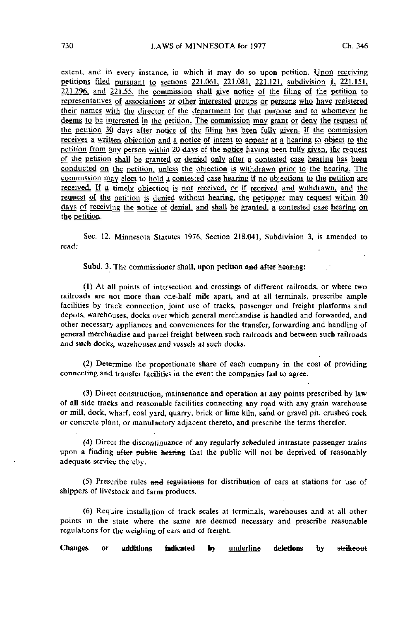extent, and in every instance, in which it may do so upon petition. Upon receiving petitions filed pursuant to sections 221.061, 221.081, 221.121. subdivision I, 221.15L 221.296. and 221.55. the commission shall give notice of the filing of the petition to representatives of associations or other interested groups or persons who have registered their names with the director of the department for that purpose and to whomever he deems to be interested in the petition. The commission may grant or deny the request of the petition 30 days after notice of the filing has been fully given. If the commission receives a written objection and a notice of intent to appear at a hearing to object to the petition from any person within 20 days of the notice having been fully given, the request of the petition shall be granted or denied only after a contested case hearing has been conducted on the petition, unless the objection is withdrawn prior to the hearing. The commission may elect to hold a contested case hearing if no objections to the petition are received. If a timely objection is not received, or if received and withdrawn, and the request of the petition is denied without hearing, the petitioner may request within 30 days of receiving the notice of denial, and shall be granted, a contested case hearing on the petition.

Sec. 12. Minnesota Statutes 1976, Section 218.04], Subdivision 3, is amended to read:

Subd. 3. The commissioner shall, upon petition and after hearing:

(1) At all points of intersection and crossings of different railroads, or where two railroads are not more than one-half mile apart, and at all terminals, prescribe ample facilities by track connection, joint use of tracks, passenger and freight platforms and depots, warehouses, docks over which general merchandise is handled and forwarded, and other necessary appliances and conveniences for the transfer, forwarding and handling of general merchandise and parcel freight between such railroads and between such railroads and such docks, warehouses and vessels at such docks.

(2) Determine the proportionate share of each company in the cost of providing connecting and transfer facilities in the event the companies fail to agree.

(3) Direct construction, maintenance and operation at any points prescribed by law of all side tracks and reasonable facilities connecting any road with any grain warehouse or mill, dock, \vharf, coal yard, quarry, brick or lime kiln, sand or gravel pit, crushed rock or concrete plant, or manufactory adjacent thereto, and prescribe the terms therefor.

(4) Direct the discontinuance of any regularly scheduled intrastate passenger trains upon a finding after public hearing that the public will not be deprived of reasonably adequate service thereby.

 $(5)$  Prescribe rules and regulations for distribution of cars at stations for use of shippers of livestock and Farm products.

(6) Require installation of track scales at terminals, warehouses and at all other points in the state where the same are deemed necessary and prescribe reasonable regulations for the weighing of cars and of freight.